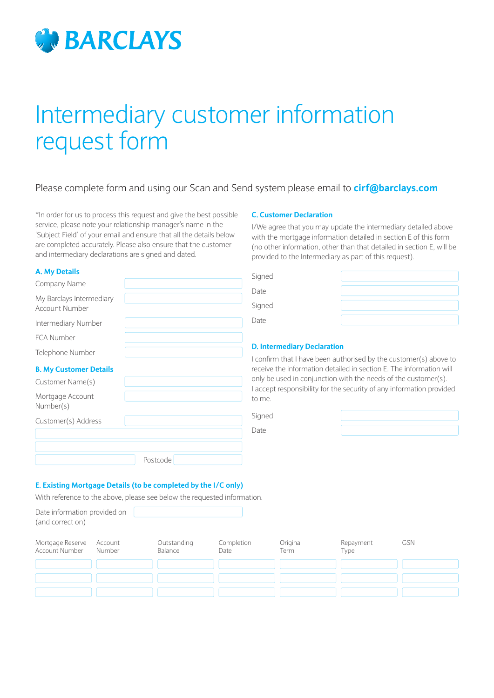

# Intermediary customer information request form

## Please complete form and using our Scan and Send system please email to **cirf@barclays.com**

\*In order for us to process this request and give the best possible service, please note your relationship manager's name in the 'Subject Field' of your email and ensure that all the details below are completed accurately. Please also ensure that the customer and intermediary declarations are signed and dated.

#### **A. My Details**

Mortgage Account Number(s)

Customer(s) Address

| Company Name                  | <b>Sidriga</b>      |
|-------------------------------|---------------------|
| My Barclays Intermediary      | Date                |
| Account Number                | Signed              |
| Intermediary Number           | Date                |
| <b>FCA Number</b>             |                     |
| Telephone Number              | D. Inte             |
| <b>B. My Customer Details</b> | I confir<br>receive |
| Customer Name(s)              | only be<br>Laccor   |

#### **C. Customer Declaration**

I/We agree that you may update the intermediary detailed above with the mortgage information detailed in section E of this form (no other information, other than that detailed in section E, will be provided to the Intermediary as part of this request).

| Signed |  |
|--------|--|
| Date   |  |
| Signed |  |
| Date   |  |

#### **Readiary Declaration**

firm that I have been authorised by the customer(s) above to ve the information detailed in section E. The information will be used in conjunction with the needs of the customer(s). I accept responsibility for the security of any information provided to me.

| $\sim$<br>۰.<br>×<br>۰.<br>M.<br>$\sim$ |
|-----------------------------------------|
|-----------------------------------------|

Date



### **E. Existing Mortgage Details (to be completed by the I/C only)**

With reference to the above, please see below the requested information.

Postcode

Date information provided on (and correct on)

| Mortgage Reserve Account<br>Account Number | Number | Outstanding<br>Balance | Completion<br>Date | Original<br>Term | Repayment<br>Type | <b>GSN</b> |
|--------------------------------------------|--------|------------------------|--------------------|------------------|-------------------|------------|
|                                            |        |                        |                    |                  |                   |            |
|                                            |        |                        |                    |                  |                   |            |
|                                            |        |                        |                    |                  |                   |            |